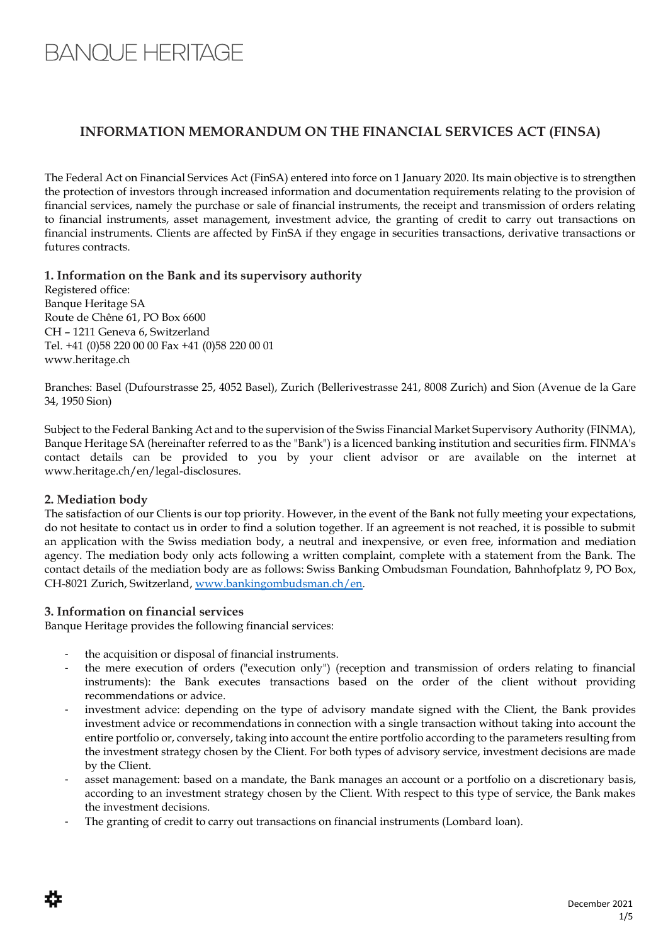# **BANQUE HERITAGE**

# **INFORMATION MEMORANDUM ON THE FINANCIAL SERVICES ACT (FINSA)**

The Federal Act on Financial Services Act (FinSA) entered into force on 1 January 2020. Its main objective is to strengthen the protection of investors through increased information and documentation requirements relating to the provision of financial services, namely the purchase or sale of financial instruments, the receipt and transmission of orders relating to financial instruments, asset management, investment advice, the granting of credit to carry out transactions on financial instruments. Clients are affected by FinSA if they engage in securities transactions, derivative transactions or futures contracts.

# **1. Information on the Bank and its supervisory authority**

Registered office: Banque Heritage SA Route de Chêne 61, PO Box 6600 CH – 1211 Geneva 6, Switzerland Tel. +41 (0)58 220 00 00 Fax +41 (0)58 220 00 01 www.heritage.ch

Branches: Basel (Dufourstrasse 25, 4052 Basel), Zurich (Bellerivestrasse 241, 8008 Zurich) and Sion (Avenue de la Gare 34, 1950 Sion)

Subject to the Federal Banking Act and to the supervision of the Swiss Financial Market Supervisory Authority (FINMA), Banque Heritage SA (hereinafter referred to as the "Bank") is a licenced banking institution and securities firm. FINMA's contact details can be provided to you by your client advisor or are available on the internet at www.heritage.ch/en/legal-disclosures.

# **2. Mediation body**

The satisfaction of our Clients is our top priority. However, in the event of the Bank not fully meeting your expectations, do not hesitate to contact us in order to find a solution together. If an agreement is not reached, it is possible to submit an application with the Swiss mediation body, a neutral and inexpensive, or even free, information and mediation agency. The mediation body only acts following a written complaint, complete with a statement from the Bank. The contact details of the mediation body are as follows: Swiss Banking Ombudsman Foundation, Bahnhofplatz 9, PO Box, CH-8021 Zurich, Switzerland, [www.bankingombudsman.ch/en.](http://www.bankingombudsman.ch/en)

# **3. Information on financial services**

Banque Heritage provides the following financial services:

- the acquisition or disposal of financial instruments.
- the mere execution of orders ("execution only") (reception and transmission of orders relating to financial instruments): the Bank executes transactions based on the order of the client without providing recommendations or advice.
- investment advice: depending on the type of advisory mandate signed with the Client, the Bank provides investment advice or recommendations in connection with a single transaction without taking into account the entire portfolio or, conversely, taking into account the entire portfolio according to the parameters resulting from the investment strategy chosen by the Client. For both types of advisory service, investment decisions are made by the Client.
- asset management: based on a mandate, the Bank manages an account or a portfolio on a discretionary basis, according to an investment strategy chosen by the Client. With respect to this type of service, the Bank makes the investment decisions.
- The granting of credit to carry out transactions on financial instruments (Lombard loan).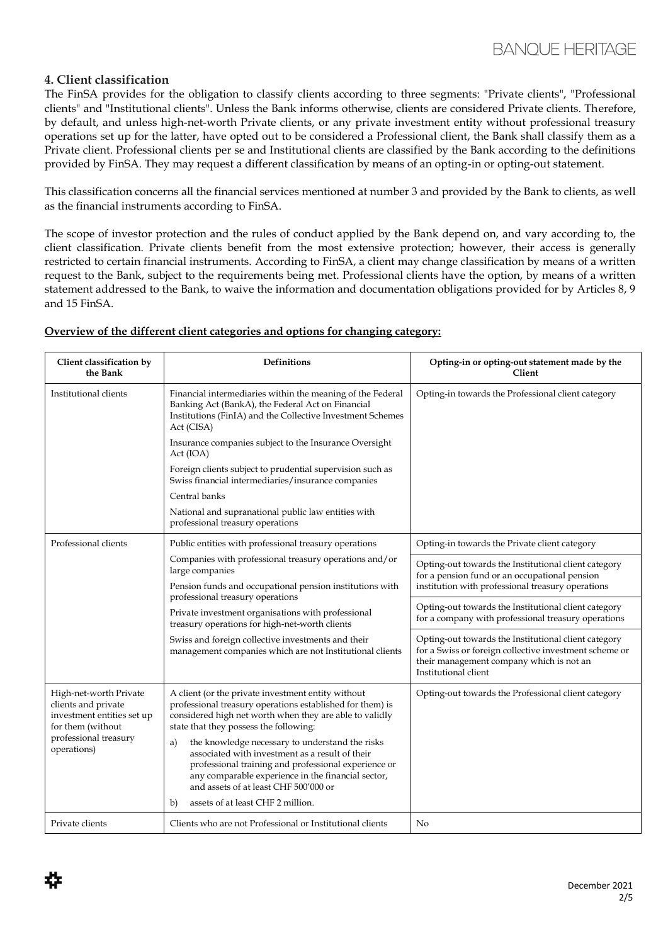# **4. Client classification**

The FinSA provides for the obligation to classify clients according to three segments: "Private clients", "Professional clients" and "Institutional clients". Unless the Bank informs otherwise, clients are considered Private clients. Therefore, by default, and unless high-net-worth Private clients, or any private investment entity without professional treasury operations set up for the latter, have opted out to be considered a Professional client, the Bank shall classify them as a Private client. Professional clients per se and Institutional clients are classified by the Bank according to the definitions provided by FinSA. They may request a different classification by means of an opting-in or opting-out statement.

This classification concerns all the financial services mentioned at number 3 and provided by the Bank to clients, as well as the financial instruments according to FinSA.

The scope of investor protection and the rules of conduct applied by the Bank depend on, and vary according to, the client classification. Private clients benefit from the most extensive protection; however, their access is generally restricted to certain financial instruments. According to FinSA, a client may change classification by means of a written request to the Bank, subject to the requirements being met. Professional clients have the option, by means of a written statement addressed to the Bank, to waive the information and documentation obligations provided for by Articles 8, 9 and 15 FinSA.

| Client classification by<br>the Bank                                                                                                                                                                                                                            | <b>Definitions</b>                                                                                                                                                                                                                                                                                                                         | Opting-in or opting-out statement made by the<br>Client                                                                                                                                                              |                                                                                                                                                                                    |
|-----------------------------------------------------------------------------------------------------------------------------------------------------------------------------------------------------------------------------------------------------------------|--------------------------------------------------------------------------------------------------------------------------------------------------------------------------------------------------------------------------------------------------------------------------------------------------------------------------------------------|----------------------------------------------------------------------------------------------------------------------------------------------------------------------------------------------------------------------|------------------------------------------------------------------------------------------------------------------------------------------------------------------------------------|
| Institutional clients                                                                                                                                                                                                                                           | Financial intermediaries within the meaning of the Federal<br>Banking Act (BankA), the Federal Act on Financial<br>Institutions (FinIA) and the Collective Investment Schemes<br>Act (CISA)                                                                                                                                                | Opting-in towards the Professional client category                                                                                                                                                                   |                                                                                                                                                                                    |
|                                                                                                                                                                                                                                                                 | Insurance companies subject to the Insurance Oversight<br>Act (IOA)                                                                                                                                                                                                                                                                        |                                                                                                                                                                                                                      |                                                                                                                                                                                    |
|                                                                                                                                                                                                                                                                 | Foreign clients subject to prudential supervision such as<br>Swiss financial intermediaries/insurance companies                                                                                                                                                                                                                            |                                                                                                                                                                                                                      |                                                                                                                                                                                    |
|                                                                                                                                                                                                                                                                 | Central banks                                                                                                                                                                                                                                                                                                                              |                                                                                                                                                                                                                      |                                                                                                                                                                                    |
|                                                                                                                                                                                                                                                                 | National and supranational public law entities with<br>professional treasury operations                                                                                                                                                                                                                                                    |                                                                                                                                                                                                                      |                                                                                                                                                                                    |
| Professional clients                                                                                                                                                                                                                                            | Public entities with professional treasury operations<br>Companies with professional treasury operations and/or<br>large companies<br>Pension funds and occupational pension institutions with<br>professional treasury operations<br>Private investment organisations with professional<br>treasury operations for high-net-worth clients | Opting-in towards the Private client category                                                                                                                                                                        |                                                                                                                                                                                    |
|                                                                                                                                                                                                                                                                 |                                                                                                                                                                                                                                                                                                                                            | Opting-out towards the Institutional client category<br>for a pension fund or an occupational pension<br>institution with professional treasury operations                                                           |                                                                                                                                                                                    |
|                                                                                                                                                                                                                                                                 |                                                                                                                                                                                                                                                                                                                                            |                                                                                                                                                                                                                      |                                                                                                                                                                                    |
|                                                                                                                                                                                                                                                                 |                                                                                                                                                                                                                                                                                                                                            | Swiss and foreign collective investments and their<br>management companies which are not Institutional clients                                                                                                       | Opting-out towards the Institutional client category<br>for a Swiss or foreign collective investment scheme or<br>their management company which is not an<br>Institutional client |
|                                                                                                                                                                                                                                                                 | High-net-worth Private<br>clients and private<br>investment entities set up<br>for them (without<br>professional treasury<br>operations)                                                                                                                                                                                                   | A client (or the private investment entity without<br>professional treasury operations established for them) is<br>considered high net worth when they are able to validly<br>state that they possess the following: | Opting-out towards the Professional client category                                                                                                                                |
| the knowledge necessary to understand the risks<br>a)<br>associated with investment as a result of their<br>professional training and professional experience or<br>any comparable experience in the financial sector,<br>and assets of at least CHF 500'000 or |                                                                                                                                                                                                                                                                                                                                            |                                                                                                                                                                                                                      |                                                                                                                                                                                    |
| assets of at least CHF 2 million.<br>b)                                                                                                                                                                                                                         |                                                                                                                                                                                                                                                                                                                                            |                                                                                                                                                                                                                      |                                                                                                                                                                                    |
| Private clients                                                                                                                                                                                                                                                 | Clients who are not Professional or Institutional clients                                                                                                                                                                                                                                                                                  | No                                                                                                                                                                                                                   |                                                                                                                                                                                    |

#### **Overview of the different client categories and options for changing category:**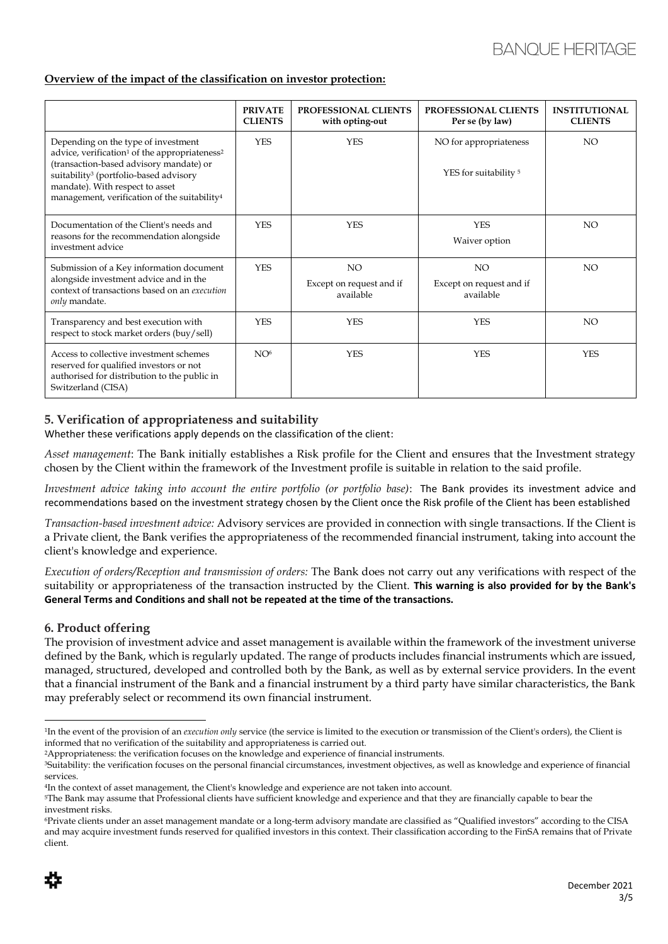#### **Overview of the impact of the classification on investor protection:**

|                                                                                                                                                                                                                                                                                                              | <b>PRIVATE</b><br><b>CLIENTS</b> | PROFESSIONAL CLIENTS<br>with opting-out      | PROFESSIONAL CLIENTS<br>Per se (by law)                    | <b>INSTITUTIONAL</b><br><b>CLIENTS</b> |
|--------------------------------------------------------------------------------------------------------------------------------------------------------------------------------------------------------------------------------------------------------------------------------------------------------------|----------------------------------|----------------------------------------------|------------------------------------------------------------|----------------------------------------|
| Depending on the type of investment<br>advice, verification <sup>1</sup> of the appropriateness <sup>2</sup><br>(transaction-based advisory mandate) or<br>suitability <sup>3</sup> (portfolio-based advisory<br>mandate). With respect to asset<br>management, verification of the suitability <sup>4</sup> | <b>YES</b>                       | <b>YES</b>                                   | NO for appropriateness<br>YES for suitability <sup>5</sup> | NO.                                    |
| Documentation of the Client's needs and<br>reasons for the recommendation alongside<br>investment advice                                                                                                                                                                                                     | <b>YES</b>                       | <b>YES</b>                                   | <b>YES</b><br>Waiver option                                | NO.                                    |
| Submission of a Key information document<br>alongside investment advice and in the<br>context of transactions based on an execution<br>only mandate.                                                                                                                                                         | <b>YES</b>                       | NO.<br>Except on request and if<br>available | <b>NO</b><br>Except on request and if<br>available         | <b>NO</b>                              |
| Transparency and best execution with<br>respect to stock market orders (buy/sell)                                                                                                                                                                                                                            | <b>YES</b>                       | <b>YES</b>                                   | <b>YES</b>                                                 | NO.                                    |
| Access to collective investment schemes<br>reserved for qualified investors or not<br>authorised for distribution to the public in<br>Switzerland (CISA)                                                                                                                                                     | NO <sup>6</sup>                  | <b>YES</b>                                   | <b>YES</b>                                                 | <b>YES</b>                             |

# **5. Verification of appropriateness and suitability**

Whether these verifications apply depends on the classification of the client:

*Asset management*: The Bank initially establishes a Risk profile for the Client and ensures that the Investment strategy chosen by the Client within the framework of the Investment profile is suitable in relation to the said profile.

*Investment advice taking into account the entire portfolio (or portfolio base)*: The Bank provides its investment advice and recommendations based on the investment strategy chosen by the Client once the Risk profile of the Client has been established

*Transaction-based investment advice:* Advisory services are provided in connection with single transactions. If the Client is a Private client, the Bank verifies the appropriateness of the recommended financial instrument, taking into account the client's knowledge and experience.

*Execution of orders/Reception and transmission of orders:* The Bank does not carry out any verifications with respect of the suitability or appropriateness of the transaction instructed by the Client. **This warning is also provided for by the Bank's General Terms and Conditions and shall not be repeated at the time of the transactions.**

#### **6. Product offering**

The provision of investment advice and asset management is available within the framework of the investment universe defined by the Bank, which is regularly updated. The range of products includes financial instruments which are issued, managed, structured, developed and controlled both by the Bank, as well as by external service providers. In the event that a financial instrument of the Bank and a financial instrument by a third party have similar characteristics, the Bank may preferably select or recommend its own financial instrument.

<sup>6</sup>Private clients under an asset management mandate or a long-term advisory mandate are classified as "Qualified investors" according to the CISA and may acquire investment funds reserved for qualified investors in this context. Their classification according to the FinSA remains that of Private client.



<sup>1</sup> In the event of the provision of an *execution only* service (the service is limited to the execution or transmission of the Client's orders), the Client is informed that no verification of the suitability and appropriateness is carried out.

<sup>2</sup>Appropriateness: the verification focuses on the knowledge and experience of financial instruments.

<sup>3</sup>Suitability: the verification focuses on the personal financial circumstances, investment objectives, as well as knowledge and experience of financial services.

<sup>4</sup> In the context of asset management, the Client's knowledge and experience are not taken into account.

<sup>5</sup>The Bank may assume that Professional clients have sufficient knowledge and experience and that they are financially capable to bear the investment risks.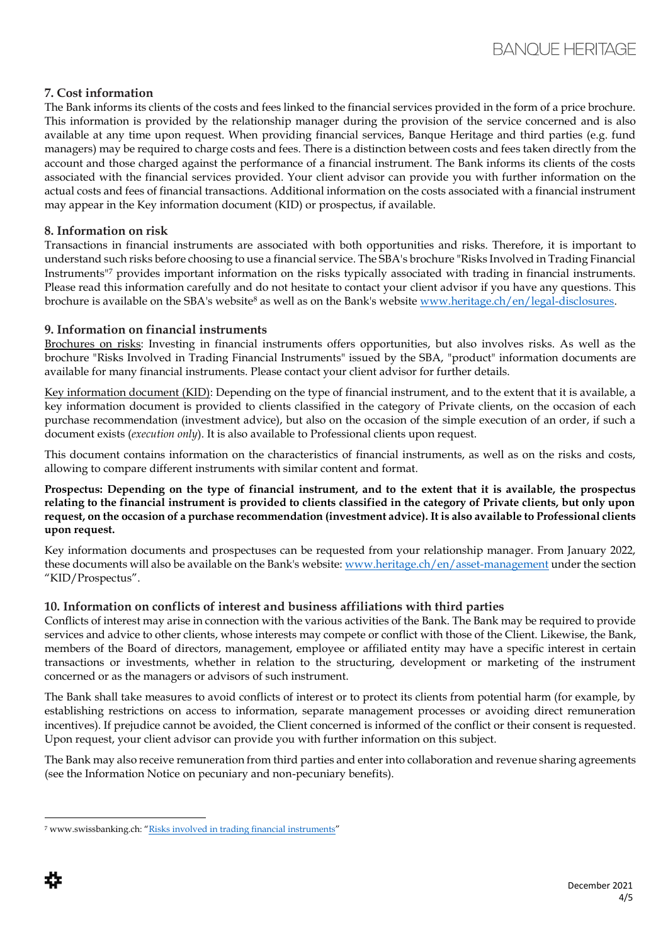#### **7. Cost information**

The Bank informs its clients of the costs and fees linked to the financial services provided in the form of a price brochure. This information is provided by the relationship manager during the provision of the service concerned and is also available at any time upon request. When providing financial services, Banque Heritage and third parties (e.g. fund managers) may be required to charge costs and fees. There is a distinction between costs and fees taken directly from the account and those charged against the performance of a financial instrument. The Bank informs its clients of the costs associated with the financial services provided. Your client advisor can provide you with further information on the actual costs and fees of financial transactions. Additional information on the costs associated with a financial instrument may appear in the Key information document (KID) or prospectus, if available.

#### **8. Information on risk**

Transactions in financial instruments are associated with both opportunities and risks. Therefore, it is important to understand such risks before choosing to use a financial service. The SBA's brochure "Risks Involved in Trading Financial Instruments"<sup>7</sup> provides important information on the risks typically associated with trading in financial instruments. Please read this information carefully and do not hesitate to contact your client advisor if you have any questions. This brochure is available on the SBA's website<sup>8</sup> as well as on the Bank's website [www.heritage.ch/en/legal-disclosures.](http://www.heritage.ch/en/legal-disclosures)

#### **9. Information on financial instruments**

Brochures on risks: Investing in financial instruments offers opportunities, but also involves risks. As well as the brochure "Risks Involved in Trading Financial Instruments" issued by the SBA, "product" information documents are available for many financial instruments. Please contact your client advisor for further details.

Key information document (KID): Depending on the type of financial instrument, and to the extent that it is available, a key information document is provided to clients classified in the category of Private clients, on the occasion of each purchase recommendation (investment advice), but also on the occasion of the simple execution of an order, if such a document exists (*execution only*). It is also available to Professional clients upon request.

This document contains information on the characteristics of financial instruments, as well as on the risks and costs, allowing to compare different instruments with similar content and format.

**Prospectus: Depending on the type of financial instrument, and to the extent that it is available, the prospectus relating to the financial instrument is provided to clients classified in the category of Private clients, but only upon request, on the occasion of a purchase recommendation (investment advice). It is also available to Professional clients upon request.**

Key information documents and prospectuses can be requested from your relationship manager. From January 2022, these documents will also be available on the Bank's website: [www.heritage.ch/en/asset-management](http://www.heritage.ch/en/asset-management) under the section "KID/Prospectus".

# **10. Information on conflicts of interest and business affiliations with third parties**

Conflicts of interest may arise in connection with the various activities of the Bank. The Bank may be required to provide services and advice to other clients, whose interests may compete or conflict with those of the Client. Likewise, the Bank, members of the Board of directors, management, employee or affiliated entity may have a specific interest in certain transactions or investments, whether in relation to the structuring, development or marketing of the instrument concerned or as the managers or advisors of such instrument.

The Bank shall take measures to avoid conflicts of interest or to protect its clients from potential harm (for example, by establishing restrictions on access to information, separate management processes or avoiding direct remuneration incentives). If prejudice cannot be avoided, the Client concerned is informed of the conflict or their consent is requested. Upon request, your client advisor can provide you with further information on this subject.

The Bank may also receive remuneration from third parties and enter into collaboration and revenue sharing agreements (see the Information Notice on pecuniary and non-pecuniary benefits).

<sup>7</sup> www.swissbanking.ch: "[Risks involved in trading financial instruments](https://www.swissbanking.ch/_Resources/Persistent/c/8/4/0/c840d1f03cf558c4a0dddcc9f94cb8e5c984125e/SBA_Risks_Involved_in_Trading_Financial_Instruments_2019_EN.pdf)"